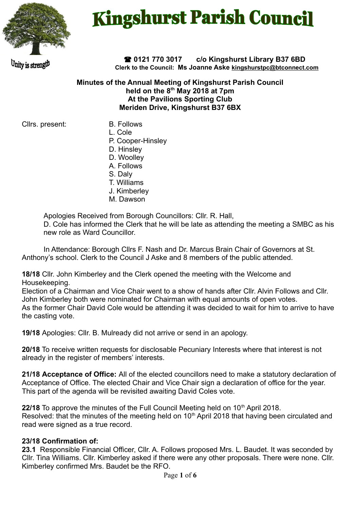

# **Kingshurst Parish Council**

Unity is strength

 **0121 770 3017 c/o Kingshurst Library B37 6BD Clerk to the Council: Ms Joanne Aske [kingshurstpc@btconnect.com](mailto:kingshurstpc@btconnect.com)**

#### **Minutes of the Annual Meeting of Kingshurst Parish Council held on the 8th May 2018 at 7pm At the Pavilions Sporting Club Meriden Drive, Kingshurst B37 6BX**

Cllrs. present: B. Follows

- L. Cole
- P. Cooper-Hinsley
- D. Hinsley
- D. Woolley
- A. Follows
- S. Daly
- T. Williams
- J. Kimberley
- M. Dawson

Apologies Received from Borough Councillors: Cllr. R. Hall,

D. Cole has informed the Clerk that he will be late as attending the meeting a SMBC as his new role as Ward Councillor.

In Attendance: Borough Cllrs F. Nash and Dr. Marcus Brain Chair of Governors at St. Anthony's school. Clerk to the Council J Aske and 8 members of the public attended.

**18/18** Cllr. John Kimberley and the Clerk opened the meeting with the Welcome and Housekeeping.

Election of a Chairman and Vice Chair went to a show of hands after Cllr. Alvin Follows and Cllr. John Kimberley both were nominated for Chairman with equal amounts of open votes. As the former Chair David Cole would be attending it was decided to wait for him to arrive to have the casting vote.

**19/18** Apologies: Cllr. B. Mulready did not arrive or send in an apology.

**20/18** To receive written requests for disclosable Pecuniary Interests where that interest is not already in the register of members' interests.

**21/18 Acceptance of Office:** All of the elected councillors need to make a statutory declaration of Acceptance of Office. The elected Chair and Vice Chair sign a declaration of office for the year. This part of the agenda will be revisited awaiting David Coles vote.

**22/18** To approve the minutes of the Full Council Meeting held on 10<sup>th</sup> April 2018. Resolved: that the minutes of the meeting held on 10<sup>th</sup> April 2018 that having been circulated and read were signed as a true record.

#### **23/18 Confirmation of:**

**23.1** Responsible Financial Officer, Cllr. A. Follows proposed Mrs. L. Baudet. It was seconded by Cllr. Tina Williams. Cllr. Kimberley asked if there were any other proposals. There were none. Cllr. Kimberley confirmed Mrs. Baudet be the RFO.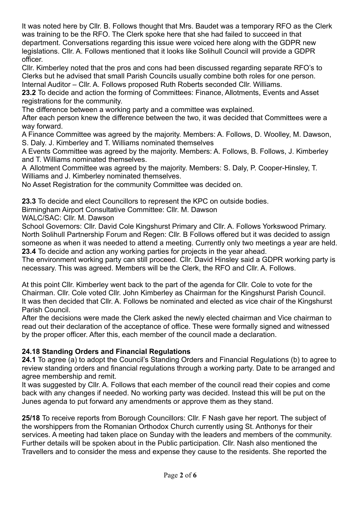It was noted here by Cllr. B. Follows thought that Mrs. Baudet was a temporary RFO as the Clerk was training to be the RFO. The Clerk spoke here that she had failed to succeed in that department. Conversations regarding this issue were voiced here along with the GDPR new legislations. Cllr. A. Follows mentioned that it looks like Solihull Council will provide a GDPR officer.

Cllr. Kimberley noted that the pros and cons had been discussed regarding separate RFO's to Clerks but he advised that small Parish Councils usually combine both roles for one person. Internal Auditor – Cllr. A. Follows proposed Ruth Roberts seconded Cllr. Williams.

**23.2** To decide and action the forming of Committees: Finance, Allotments, Events and Asset registrations for the community.

The difference between a working party and a committee was explained.

After each person knew the difference between the two, it was decided that Committees were a way forward.

A Finance Committee was agreed by the majority. Members: A. Follows, D. Woolley, M. Dawson, S. Daly. J. Kimberley and T. Williams nominated themselves

A Events Committee was agreed by the majority. Members: A. Follows, B. Follows, J. Kimberley and T. Williams nominated themselves.

A Allotment Committee was agreed by the majority. Members: S. Daly, P. Cooper-Hinsley, T. Williams and J. Kimberley nominated themselves.

No Asset Registration for the community Committee was decided on.

**23.3** To decide and elect Councillors to represent the KPC on outside bodies.

Birmingham Airport Consultative Committee: Cllr. M. Dawson

WALC/SAC: Cllr. M. Dawson

School Governors: Cllr. David Cole Kingshurst Primary and Cllr. A. Follows Yorkswood Primary. North Solihull Partnership Forum and Regen: Cllr. B Follows offered but it was decided to assign someone as when it was needed to attend a meeting. Currently only two meetings a year are held. **23.4** To decide and action any working parties for projects in the year ahead.

The environment working party can still proceed. Cllr. David Hinsley said a GDPR working party is necessary. This was agreed. Members will be the Clerk, the RFO and Cllr. A. Follows.

At this point Cllr. Kimberley went back to the part of the agenda for Cllr. Cole to vote for the Chairman. Cllr. Cole voted Cllr. John Kimberley as Chairman for the Kingshurst Parish Council. It was then decided that Cllr. A. Follows be nominated and elected as vice chair of the Kingshurst Parish Council.

After the decisions were made the Clerk asked the newly elected chairman and Vice chairman to read out their declaration of the acceptance of office. These were formally signed and witnessed by the proper officer. After this, each member of the council made a declaration.

#### **24.18 Standing Orders and Financial Regulations**

**24.1** To agree (a) to adopt the Council's Standing Orders and Financial Regulations (b) to agree to review standing orders and financial regulations through a working party. Date to be arranged and agree membership and remit.

It was suggested by Cllr. A. Follows that each member of the council read their copies and come back with any changes if needed. No working party was decided. Instead this will be put on the Junes agenda to put forward any amendments or approve them as they stand.

**25/18** To receive reports from Borough Councillors: Cllr. F Nash gave her report. The subject of the worshippers from the Romanian Orthodox Church currently using St. Anthonys for their services. A meeting had taken place on Sunday with the leaders and members of the community. Further details will be spoken about in the Public participation. Cllr. Nash also mentioned the Travellers and to consider the mess and expense they cause to the residents. She reported the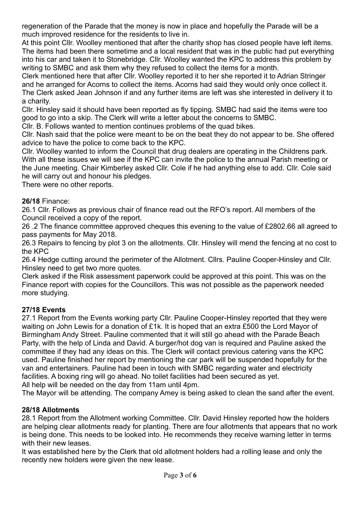regeneration of the Parade that the money is now in place and hopefully the Parade will be a much improved residence for the residents to live in.

At this point Cllr. Woolley mentioned that after the charity shop has closed people have left items. The items had been there sometime and a local resident that was in the public had put everything into his car and taken it to Stonebridge. Cllr. Woolley wanted the KPC to address this problem by writing to SMBC and ask them why they refused to collect the items for a month.

Clerk mentioned here that after Cllr. Woolley reported it to her she reported it to Adrian Stringer and he arranged for Acorns to collect the items. Acorns had said they would only once collect it. The Clerk asked Jean Johnson if and any further items are left was she interested in delivery it to a charity.

Cllr. Hinsley said it should have been reported as fly tipping. SMBC had said the items were too good to go into a skip. The Clerk will write a letter about the concerns to SMBC.

Cllr. B. Follows wanted to mention continues problems of the quad bikes.

Cllr. Nash said that the police were meant to be on the beat they do not appear to be. She offered advice to have the police to come back to the KPC.

Cllr. Woolley wanted to inform the Council that drug dealers are operating in the Childrens park. With all these issues we will see if the KPC can invite the police to the annual Parish meeting or the June meeting. Chair Kimberley asked Cllr. Cole if he had anything else to add. Cllr. Cole said he will carry out and honour his pledges.

There were no other reports.

#### **26/18** Finance:

26.1 Cllr. Follows as previous chair of finance read out the RFO's report. All members of the Council received a copy of the report.

26 .2 The finance committee approved cheques this evening to the value of £2802.66 all agreed to pass payments for May 2018.

26.3 Repairs to fencing by plot 3 on the allotments. Cllr. Hinsley will mend the fencing at no cost to the KPC

26.4 Hedge cutting around the perimeter of the Allotment. Cllrs. Pauline Cooper-Hinsley and Cllr. Hinsley need to get two more quotes.

Clerk asked if the Risk assessment paperwork could be approved at this point. This was on the Finance report with copies for the Councillors. This was not possible as the paperwork needed more studying.

#### **27/18 Events**

27.1 Report from the Events working party Cllr. Pauline Cooper-Hinsley reported that they were waiting on John Lewis for a donation of £1k. It is hoped that an extra £500 the Lord Mayor of Birmingham Andy Street. Pauline commented that it will still go ahead with the Parade Beach Party, with the help of Linda and David. A burger/hot dog van is required and Pauline asked the committee if they had any ideas on this. The Clerk will contact previous catering vans the KPC used. Pauline finished her report by mentioning the car park will be suspended hopefully for the van and entertainers. Pauline had been in touch with SMBC regarding water and electricity facilities. A boxing ring will go ahead. No toilet facilities had been secured as yet.

All help will be needed on the day from 11am until 4pm.

The Mayor will be attending. The company Amey is being asked to clean the sand after the event.

#### **28/18 Allotments**

28.1 Report from the Allotment working Committee. Cllr. David Hinsley reported how the holders are helping clear allotments ready for planting. There are four allotments that appears that no work is being done. This needs to be looked into. He recommends they receive warning letter in terms with their new leases.

It was established here by the Clerk that old allotment holders had a rolling lease and only the recently new holders were given the new lease.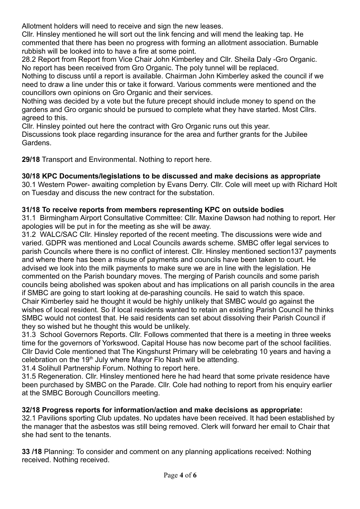Allotment holders will need to receive and sign the new leases.

Cllr. Hinsley mentioned he will sort out the link fencing and will mend the leaking tap. He commented that there has been no progress with forming an allotment association. Burnable rubbish will be looked into to have a fire at some point.

28.2 Report from Report from Vice Chair John Kimberley and Cllr. Sheila Daly -Gro Organic. No report has been received from Gro Organic. The poly tunnel will be replaced.

Nothing to discuss until a report is available. Chairman John Kimberley asked the council if we need to draw a line under this or take it forward. Various comments were mentioned and the councillors own opinions on Gro Organic and their services.

Nothing was decided by a vote but the future precept should include money to spend on the gardens and Gro organic should be pursued to complete what they have started. Most Cllrs. agreed to this.

Cllr. Hinsley pointed out here the contract with Gro Organic runs out this year.

Discussions took place regarding insurance for the area and further grants for the Jubilee Gardens.

**29/18** Transport and Environmental. Nothing to report here.

## **30/18 KPC Documents/legislations to be discussed and make decisions as appropriate**

30.1 Western Power- awaiting completion by Evans Derry. Cllr. Cole will meet up with Richard Holt on Tuesday and discuss the new contract for the substation.

## **31/18 To receive reports from members representing KPC on outside bodies**

31.1 Birmingham Airport Consultative Committee: Cllr. Maxine Dawson had nothing to report. Her apologies will be put in for the meeting as she will be away.

31.2 WALC/SAC Cllr. Hinsley reported of the recent meeting. The discussions were wide and varied. GDPR was mentioned and Local Councils awards scheme. SMBC offer legal services to parish Councils where there is no conflict of interest. Cllr. Hinsley mentioned section137 payments and where there has been a misuse of payments and councils have been taken to court. He advised we look into the milk payments to make sure we are in line with the legislation. He commented on the Parish boundary moves. The merging of Parish councils and some parish councils being abolished was spoken about and has implications on all parish councils in the area if SMBC are going to start looking at de-parashing councils. He said to watch this space. Chair Kimberley said he thought it would be highly unlikely that SMBC would go against the wishes of local resident. So if local residents wanted to retain an existing Parish Council he thinks SMBC would not contest that. He said residents can set about dissolving their Parish Council if they so wished but he thought this would be unlikely.

31.3 School Governors Reports. Cllr. Follows commented that there is a meeting in three weeks time for the governors of Yorkswood. Capital House has now become part of the school facilities. Cllr David Cole mentioned that The Kingshurst Primary will be celebrating 10 years and having a celebration on the 19<sup>th</sup> July where Mayor Flo Nash will be attending.

31.4 Solihull Partnership Forum. Nothing to report here.

31.5 Regeneration. Cllr. Hinsley mentioned here he had heard that some private residence have been purchased by SMBC on the Parade. Cllr. Cole had nothing to report from his enquiry earlier at the SMBC Borough Councillors meeting.

## **32/18 Progress reports for information/action and make decisions as appropriate:**

32.1 Pavilions sporting Club updates. No updates have been received. It had been established by the manager that the asbestos was still being removed. Clerk will forward her email to Chair that she had sent to the tenants.

**33 /18** Planning: To consider and comment on any planning applications received: Nothing received. Nothing received.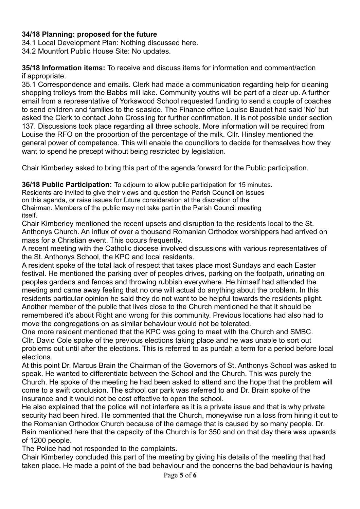### **34/18 Planning: proposed for the future**

34.1 Local Development Plan: Nothing discussed here.

34.2 Mountfort Public House Site: No updates.

**35/18 Information items:** To receive and discuss items for information and comment/action if appropriate.

35.1 Correspondence and emails. Clerk had made a communication regarding help for cleaning shopping trolleys from the Babbs mill lake. Community youths will be part of a clear up. A further email from a representative of Yorkswood School requested funding to send a couple of coaches to send children and families to the seaside. The Finance office Louise Baudet had said 'No' but asked the Clerk to contact John Crossling for further confirmation. It is not possible under section 137. Discussions took place regarding all three schools. More information will be required from Louise the RFO on the proportion of the percentage of the milk. Cllr. Hinsley mentioned the general power of competence. This will enable the councillors to decide for themselves how they want to spend he precept without being restricted by legislation.

Chair Kimberley asked to bring this part of the agenda forward for the Public participation.

**36/18 Public Participation:** To adjourn to allow public participation for 15 minutes.

Residents are invited to give their views and question the Parish Council on issues on this agenda, or raise issues for future consideration at the discretion of the Chairman. Members of the public may not take part in the Parish Council meeting itself.

Chair Kimberley mentioned the recent upsets and disruption to the residents local to the St. Anthonys Church. An influx of over a thousand Romanian Orthodox worshippers had arrived on mass for a Christian event. This occurs frequently.

A recent meeting with the Catholic diocese involved discussions with various representatives of the St. Anthonys School, the KPC and local residents.

A resident spoke of the total lack of respect that takes place most Sundays and each Easter festival. He mentioned the parking over of peoples drives, parking on the footpath, urinating on peoples gardens and fences and throwing rubbish everywhere. He himself had attended the meeting and came away feeling that no one will actual do anything about the problem. In this residents particular opinion he said they do not want to be helpful towards the residents plight. Another member of the public that lives close to the Church mentioned he that it should be remembered it's about Right and wrong for this community. Previous locations had also had to move the congregations on as similar behaviour would not be tolerated.

One more resident mentioned that the KPC was going to meet with the Church and SMBC. Cllr. David Cole spoke of the previous elections taking place and he was unable to sort out problems out until after the elections. This is referred to as purdah a term for a period before local elections.

At this point Dr. Marcus Brain the Chairman of the Governors of St. Anthonys School was asked to speak. He wanted to differentiate between the School and the Church. This was purely the Church. He spoke of the meeting he had been asked to attend and the hope that the problem will come to a swift conclusion. The school car park was referred to and Dr. Brain spoke of the insurance and it would not be cost effective to open the school.

He also explained that the police will not interfere as it is a private issue and that is why private security had been hired. He commented that the Church, moneywise run a loss from hiring it out to the Romanian Orthodox Church because of the damage that is caused by so many people. Dr. Bain mentioned here that the capacity of the Church is for 350 and on that day there was upwards of 1200 people.

The Police had not responded to the complaints.

Chair Kimberley concluded this part of the meeting by giving his details of the meeting that had taken place. He made a point of the bad behaviour and the concerns the bad behaviour is having